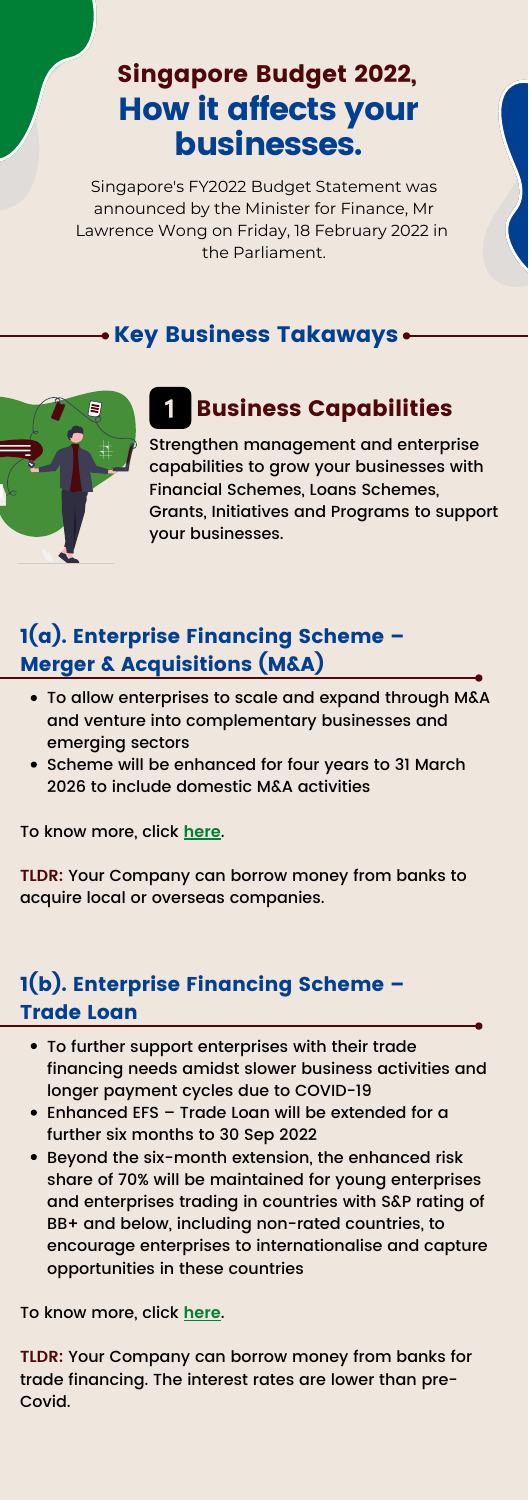# How it affects your businesses. Singapore Budget 2022,

Singapore's FY2022 Budget Statement was announced by the Minister for Finance, Mr Lawrence Wong on Friday, 18 February 2022 in the Parliament.

### • Key Business Takaways •



Strengthen management and enterprise capabilities to grow your businesses with Financial Schemes, Loans Schemes, Grants, Initiatives and Programs to support your businesses.

### Business Capabilities

To allow enterprises to scale and expand through M&A and venture into complementary businesses and emerging sectors • Scheme will be enhanced for four years to 31 March 2026 to include domestic M&A activities

To know more, click **[here](https://www.enterprisesg.gov.sg/financial-assistance/loans-and-insurance/loans-and-insurance/enterprise-financing-scheme/merger-and-acquisitions/overview)**.

**TLDR:** Your Company can borrow money from banks to acquire local or overseas companies.

#### 1(a). Enterprise Financing Scheme – Merger & Acquisitions (M&A)

- To further support enterprises with their trade financing needs amidst slower business activities and longer payment cycles due to COVID-19
- Enhanced EFS Trade Loan will be extended for a further six months to 30 Sep 2022
- Beyond the six-month extension, the enhanced risk share of 70% will be maintained for young enterprises and enterprises trading in countries with S&P rating of BB+ and below, including non-rated countries, to encourage enterprises to internationalise and capture opportunities in these countries

To know more, click **[here](https://www.enterprisesg.gov.sg/financial-assistance/loans-and-insurance/loans-and-insurance/enterprise-financing-scheme/trade-loan/overview)**.

**TLDR:** Your Company can borrow money from banks for trade financing. The interest rates are lower than pre-Covid.

#### 1(b). Enterprise Financing Scheme – Trade Loan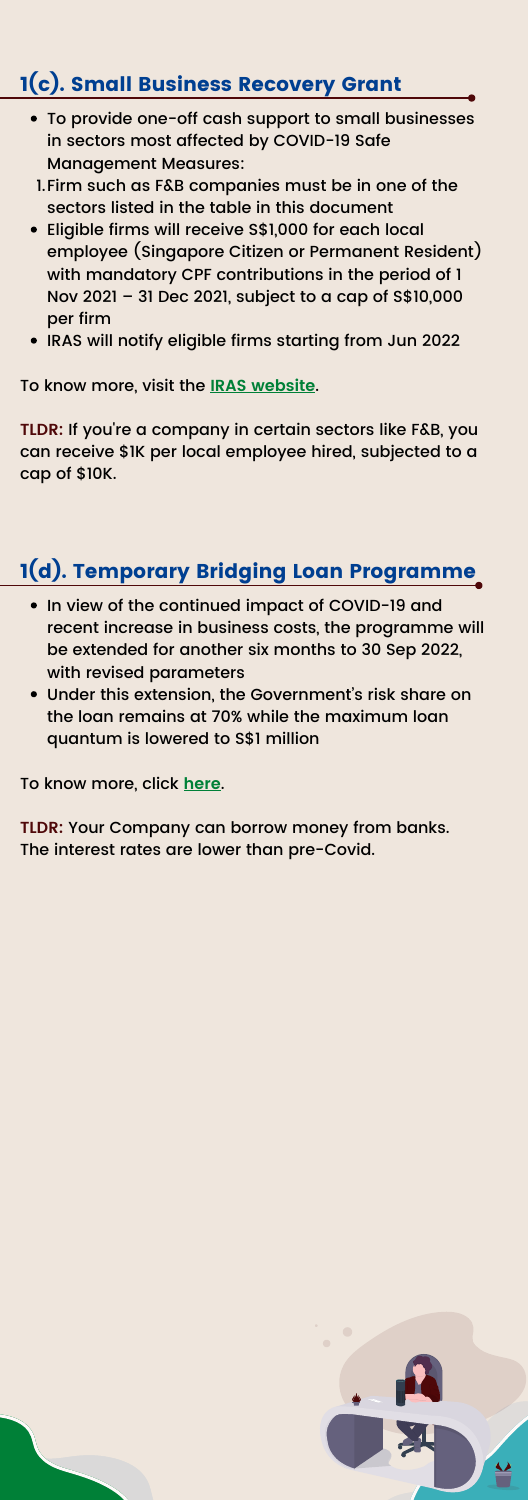- In view of the continued impact of COVID-19 and recent increase in business costs, the programme will be extended for another six months to 30 Sep 2022, with revised parameters
- Under this extension, the Government' s risk share on the loan remains at 70% while the maximum loan

To know more, visit the **IRAS [website](https://go.gov.sg/sbrg)**.

**TLDR:** If you're a company in certain sectors like F&B, you can receive \$1K per local employee hired, subjected to a cap of \$10K.

## 1(c). Small Business Recovery Grant

- To provide one-off cash support to small businesses in sectors most affected by COVID-19 Safe Management Measures:
- Firm such as F&B companies must be in one of the 1. sectors listed in the table in this [document](https://go.gov.sg/sbrgrant)
- Eligible firms will receive S\$1,000 for each local employee (Singapore Citizen or Permanent Resident) with mandatory CPF contributions in the period of 1 Nov 2021 – 31 Dec 2021, subject to a cap of S\$10,000 per firm
- IRAS will notify eligible firms starting from Jun 2022

quantum is lowered to S\$1 million

To know more, click **[here](https://www.enterprisesg.gov.sg/esghome/financial-assistance/loans-and-insurance/loans-and-insurance/temporary-bridging-loan-programme/overview)**.

**TLDR:** Your Company can borrow money from banks. The interest rates are lower than pre-Covid.





### 1(d). Temporary Bridging Loan Programme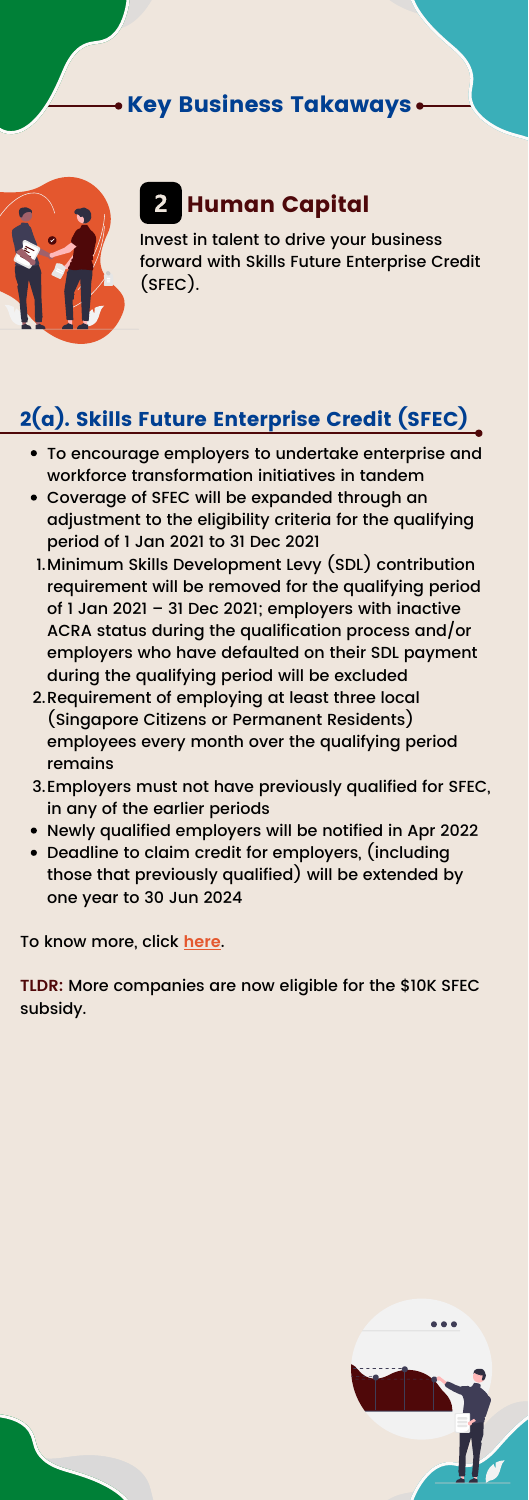#### • Key Business Takaways •



# 2 Human Capital

Invest in talent to drive your business forward with Skills Future Enterprise Credit (SFEC).

- To encourage employers to undertake enterprise and workforce transformation initiatives in tandem
- Coverage of SFEC will be expanded through an adjustment to the eligibility criteria for the qualifying period of 1 Jan 2021 to 31 Dec 2021
- Minimum Skills Development Levy (SDL) contribution 1. requirement will be removed for the qualifying period of 1 Jan 2021 – 31 Dec 2021; employers with inactive ACRA status during the qualification process and/or employers who have defaulted on their SDL payment during the qualifying period will be excluded
- 2.Requirement of employing at least three local (Singapore Citizens or Permanent Residents) employees every month over the qualifying period remains
- 3.Employers must not have previously qualified for SFEC, in any of the earlier periods
- Newly qualified employers will be notified in Apr 2022
- Deadline to claim credit for employers, (including those that previously qualified) will be extended by one year to 30 Jun 2024

To know more, click **[here](https://www.enterprisesg.gov.sg/esghome/financial-assistance/grants/for-local-companies/skillsfuture-enterprise-credit)**.

**TLDR:** More companies are now eligible for the \$10K SFEC subsidy.





## 2(a). Skills Future Enterprise Credit (SFEC)